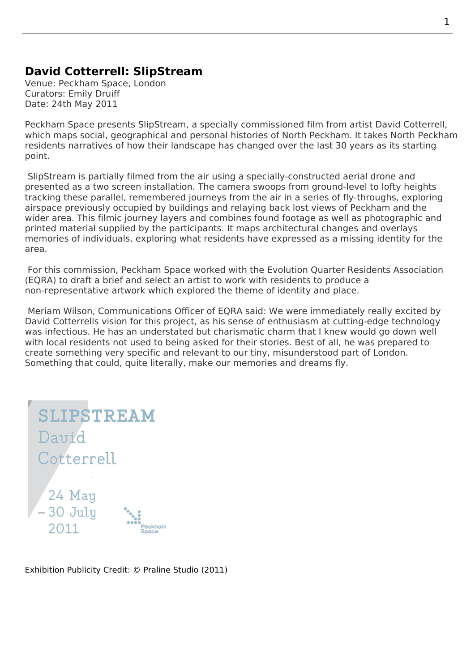## **David Cotterrell: SlipStream**

Venue: Peckham Space, London Curators: Emily Druiff Date: 24th May 2011

Peckham Space presents SlipStream, a specially commissioned film from artist David Cotterrell, which maps social, geographical and personal histories of North Peckham. It takes North Peckham residents narratives of how their landscape has changed over the last 30 years as its starting point.

SlipStream is partially filmed from the air using a specially-constructed aerial drone and presented as a two screen installation. The camera swoops from ground-level to lofty heights tracking these parallel, remembered journeys from the air in a series of fly-throughs, exploring airspace previously occupied by buildings and relaying back lost views of Peckham and the wider area. This filmic journey layers and combines found footage as well as photographic and printed material supplied by the participants. It maps architectural changes and overlays memories of individuals, exploring what residents have expressed as a missing identity for the area.

 For this commission, Peckham Space worked with the Evolution Quarter Residents Association (EQRA) to draft a brief and select an artist to work with residents to produce a non-representative artwork which explored the theme of identity and place.

 Meriam Wilson, Communications Officer of EQRA said: [We were immediately really excited by](http://www.evolutionquarter.org/2011/06/26/become-a-part-of-history/) [David C](http://www.evolutionquarter.org/2011/06/26/become-a-part-of-history/)otterrells vision for this project, as his sense of enthusiasm at cutting-edge technology was infectious. He has an understated but charismatic charm that I knew would go down well with local residents not used to being asked for their stories. Best of all, he was prepared to create something very specific and relevant to our tiny, misunderstood part of London. Something that could, quite literally, make our memories and dreams fly.

| <b>SLIPSTREAM</b>          |                         |
|----------------------------|-------------------------|
| David                      |                         |
| Cotterrell                 |                         |
| 24 May<br>-30 July<br>2011 | Peckham<br><b>Space</b> |

Exhibition Publicity Credit: © Praline Studio (2011)